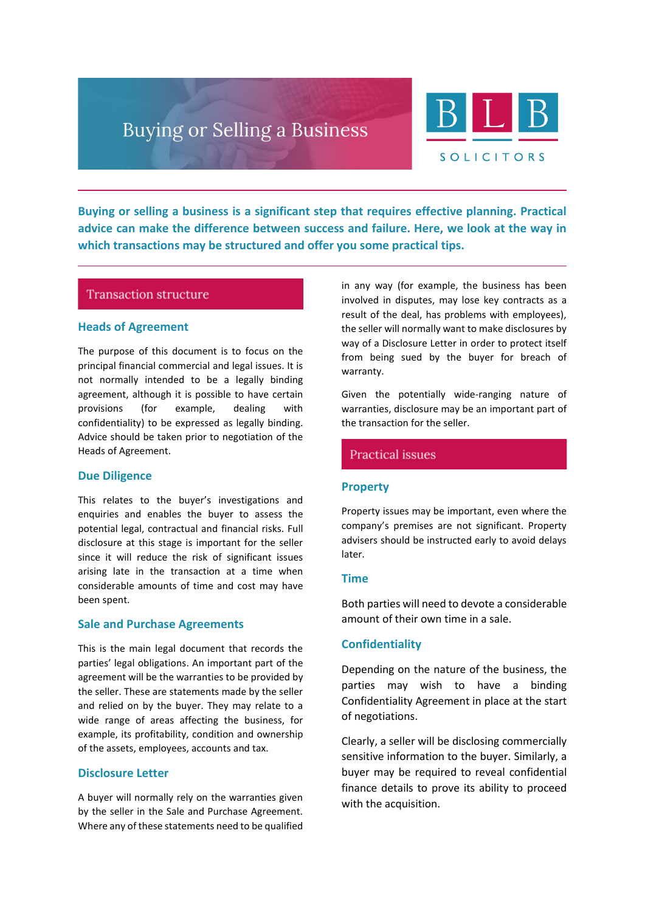# **Buying or Selling a Business**



**Buying or selling a business is a significant step that requires effective planning. Practical advice can make the difference between success and failure. Here, we look at the way in which transactions may be structured and offer you some practical tips.**

# **Transaction structure**

## **Heads of Agreement**

The purpose of this document is to focus on the principal financial commercial and legal issues. It is not normally intended to be a legally binding agreement, although it is possible to have certain provisions (for example, dealing with confidentiality) to be expressed as legally binding. Advice should be taken prior to negotiation of the Heads of Agreement.

#### **Due Diligence**

This relates to the buyer's investigations and enquiries and enables the buyer to assess the potential legal, contractual and financial risks. Full disclosure at this stage is important for the seller since it will reduce the risk of significant issues arising late in the transaction at a time when considerable amounts of time and cost may have been spent.

# **Sale and Purchase Agreements**

This is the main legal document that records the parties' legal obligations. An important part of the agreement will be the warranties to be provided by the seller. These are statements made by the seller and relied on by the buyer. They may relate to a wide range of areas affecting the business, for example, its profitability, condition and ownership of the assets, employees, accounts and tax.

## **Disclosure Letter**

A buyer will normally rely on the warranties given by the seller in the Sale and Purchase Agreement. Where any of these statements need to be qualified

in any way (for example, the business has been involved in disputes, may lose key contracts as a result of the deal, has problems with employees), the seller will normally want to make disclosures by way of a Disclosure Letter in order to protect itself from being sued by the buyer for breach of warranty.

Given the potentially wide-ranging nature of warranties, disclosure may be an important part of the transaction for the seller.

## **Practical issues**

#### **Property**

Property issues may be important, even where the company's premises are not significant. Property advisers should be instructed early to avoid delays later.

#### **Time**

Both parties will need to devote a considerable amount of their own time in a sale.

## **Confidentiality**

Depending on the nature of the business, the parties may wish to have a binding Confidentiality Agreement in place at the start of negotiations.

Clearly, a seller will be disclosing commercially sensitive information to the buyer. Similarly, a buyer may be required to reveal confidential finance details to prove its ability to proceed with the acquisition.